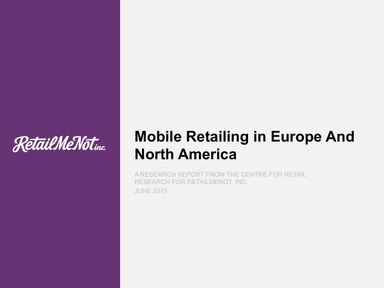

## **Mobile Retailing in Europe And North America**

A RESEARCH REPORT FROM THE CENTRE FOR RETAIL RESEARCH FOR RETAILMENOT, INC. JUNE 2015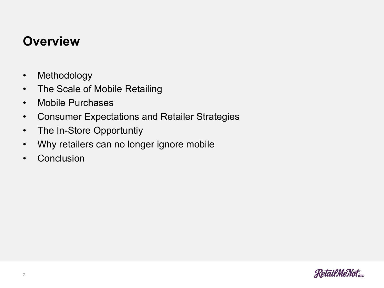#### **Overview**

- Methodology
- The Scale of Mobile Retailing
- Mobile Purchases
- Consumer Expectations and Retailer Strategies
- The In-Store Opportuntiy
- Why retailers can no longer ignore mobile
- Conclusion

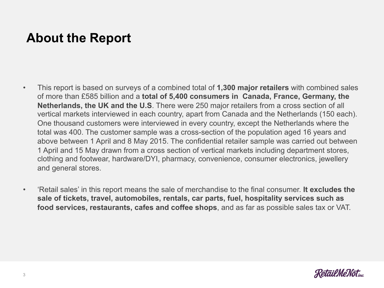### **About the Report**

- This report is based on surveys of a combined total of **1,300 major retailers** with combined sales of more than £585 billion and a **total of 5,400 consumers in Canada, France, Germany, the Netherlands, the UK and the U.S**. There were 250 major retailers from a cross section of all vertical markets interviewed in each country, apart from Canada and the Netherlands (150 each). One thousand customers were interviewed in every country, except the Netherlands where the total was 400. The customer sample was a cross-section of the population aged 16 years and above between 1 April and 8 May 2015. The confidential retailer sample was carried out between 1 April and 15 May drawn from a cross section of vertical markets including department stores, clothing and footwear, hardware/DYI, pharmacy, convenience, consumer electronics, jewellery and general stores.
- 'Retail sales' in this report means the sale of merchandise to the final consumer. **It excludes the sale of tickets, travel, automobiles, rentals, car parts, fuel, hospitality services such as food services, restaurants, cafes and coffee shops**, and as far as possible sales tax or VAT.

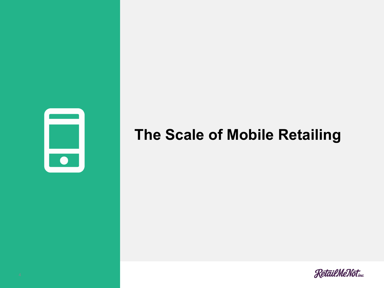

## **The Scale of Mobile Retailing**

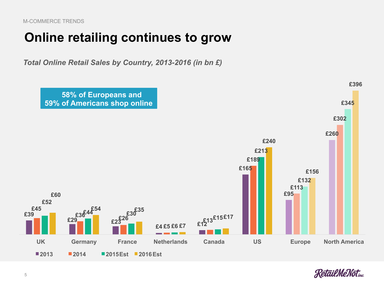M-COMMERCE TRENDS

#### **Online retailing continues to grow**

*Total Online Retail Sales by Country, 2013-2016 (in bn £)* 



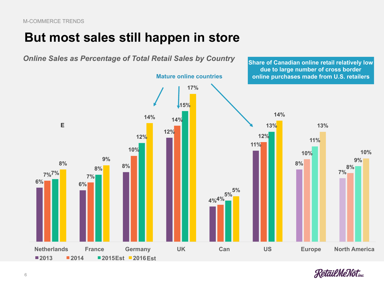### **But most sales still happen in store**



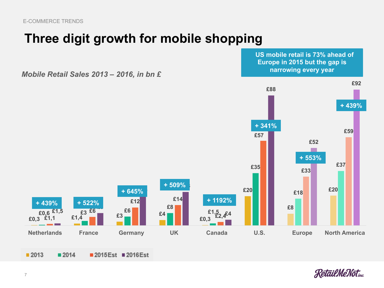### **Three digit growth for mobile shopping**

*Mobile Retail Sales 2013 – 2016, in bn £* 

2015Est 2016Est



**Retail Me Noting** 

 **US mobile retail is 73% ahead of** 

■ 2013

**+ 439%**

■ 2014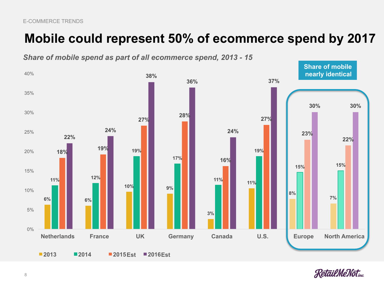### **Mobile could represent 50% of ecommerce spend by 2017**



*Share of mobile spend as part of all ecommerce spend, 2013 - 15* 

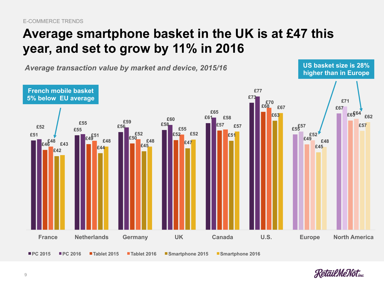### **Average smartphone basket in the UK is at £47 this year, and set to grow by 11% in 2016**



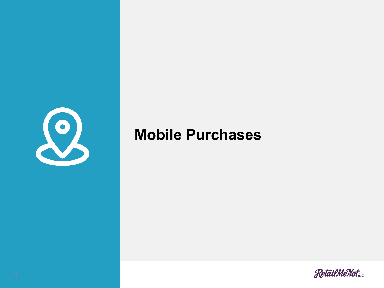

### **Mobile Purchases**

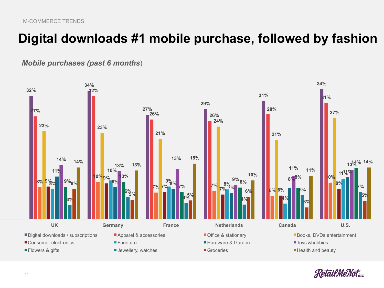### **Digital downloads #1 mobile purchase, followed by fashion**

#### *Mobile purchases (past 6 months*)



**RetailMeNoting**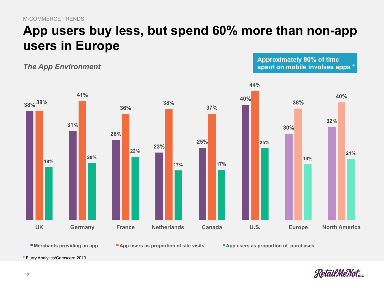### **App users buy less, but spend 60% more than non-app users in Europe**

*The App Environment*

**Approximately 80% of time spent on mobile involves apps \*** 



\* Flurry Analytics/Comscore 2013

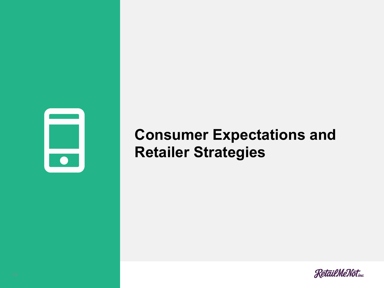

## **Consumer Expectations and Retailer Strategies**

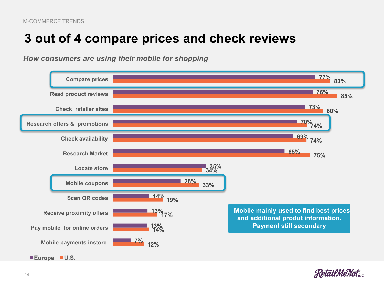### **3 out of 4 compare prices and check reviews**

*How consumers are using their mobile for shopping* 



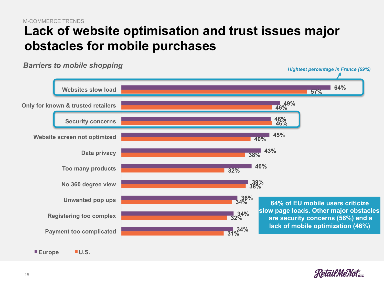#### **Lack of website optimisation and trust issues major obstacles for mobile purchases** M-COMMERCE TRENDS



*Barriers to mobile shopping* 

**Europe U.S.** 

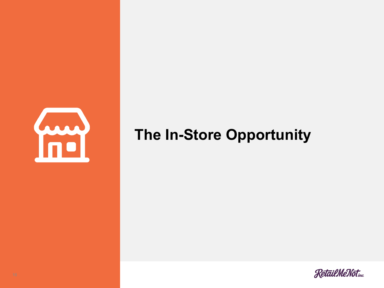

## **The In-Store Opportunity**

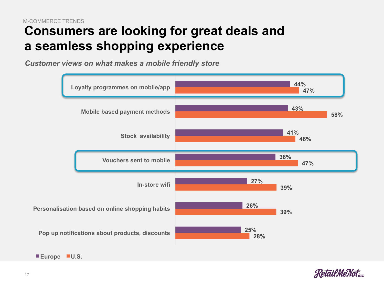#### **Consumers are looking for great deals and a seamless shopping experience** M-COMMERCE TRENDS

*Customer views on what makes a mobile friendly store* 





**Europe U.S.**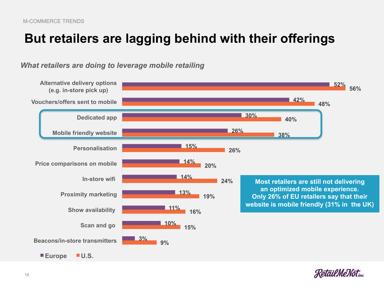### **But retailers are lagging behind with their offerings**



*What retailers are doing to leverage mobile retailing* 

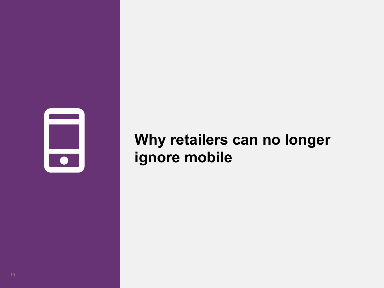

# **Why retailers can no longer ignore mobile**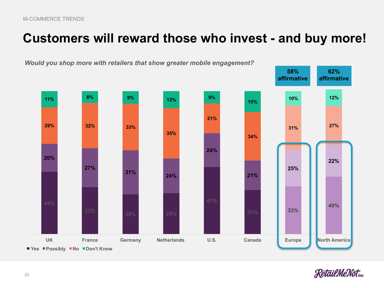### **Customers will reward those who invest - and buy more!**





20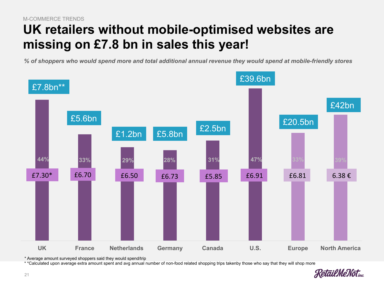#### **UK retailers without mobile-optimised websites are missing on £7.8 bn in sales this year!** M-COMMERCE TRENDS

*% of shoppers who would spend more and total additional annual revenue they would spend at mobile-friendly stores*



<sup>\*</sup> Average amount surveyed shoppers said they would spend/trip

\* \*Calculated upon average extra amount spent and avg annual number of non-food related shopping trips takenby those who say that they will shop more

**Relail Me Not**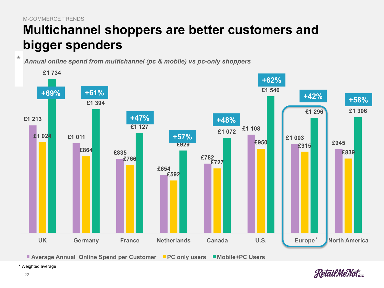$\star$ 

### **Multichannel shoppers are better customers and bigger spenders**

*Annual online spend from multichannel (pc & mobile) vs pc-only shoppers* 



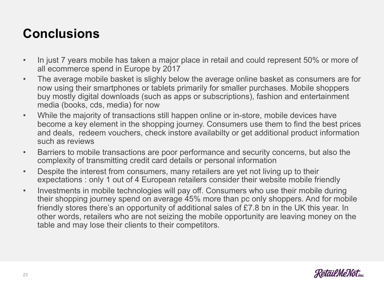### **Conclusions**

- In just 7 years mobile has taken a major place in retail and could represent 50% or more of all ecommerce spend in Europe by 2017
- The average mobile basket is slighly below the average online basket as consumers are for now using their smartphones or tablets primarily for smaller purchases. Mobile shoppers buy mostly digital downloads (such as apps or subscriptions), fashion and entertainment media (books, cds, media) for now
- While the majority of transactions still happen online or in-store, mobile devices have become a key element in the shopping journey. Consumers use them to find the best prices and deals, redeem vouchers, check instore availabilty or get additional product information such as reviews
- Barriers to mobile transactions are poor performance and security concerns, but also the complexity of transmitting credit card details or personal information
- Despite the interest from consumers, many retailers are yet not living up to their expectations : only 1 out of 4 European retailers consider their website mobile friendly
- Investments in mobile technologies will pay off. Consumers who use their mobile during their shopping journey spend on average 45% more than pc only shoppers. And for mobile friendly stores there's an opportunity of additional sales of £7.8 bn in the UK this year. In other words, retailers who are not seizing the mobile opportunity are leaving money on the table and may lose their clients to their competitors.